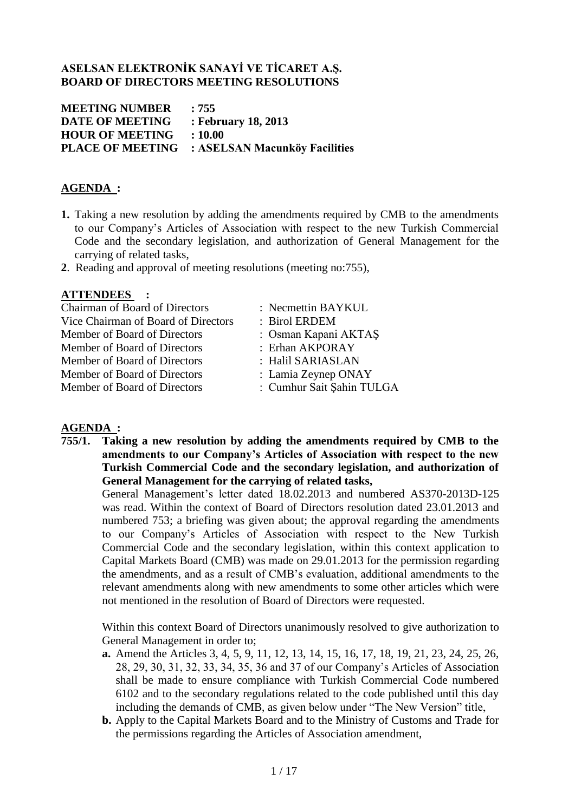# **ASELSAN ELEKTRONİK SANAYİ VE TİCARET A.Ş. BOARD OF DIRECTORS MEETING RESOLUTIONS**

**MEETING NUMBER : 755 DATE OF MEETING : February 18, 2013 HOUR OF MEETING : 10.00 PLACE OF MEETING : ASELSAN Macunköy Facilities**

# **AGENDA :**

- **1.** Taking a new resolution by adding the amendments required by CMB to the amendments to our Company's Articles of Association with respect to the new Turkish Commercial Code and the secondary legislation, and authorization of General Management for the carrying of related tasks,
- **2**. Reading and approval of meeting resolutions (meeting no:755),

# **ATTENDEES :**

| <b>Chairman of Board of Directors</b> | : Necmettin BAYKUL        |
|---------------------------------------|---------------------------|
| Vice Chairman of Board of Directors   | : Birol ERDEM             |
| Member of Board of Directors          | : Osman Kapani AKTAS      |
| Member of Board of Directors          | : Erhan AKPORAY           |
| Member of Board of Directors          | : Halil SARIASLAN         |
| Member of Board of Directors          | : Lamia Zeynep ONAY       |
| Member of Board of Directors          | : Cumhur Sait Şahin TULGA |
|                                       |                           |

# **AGENDA :**

**755/1. Taking a new resolution by adding the amendments required by CMB to the amendments to our Company's Articles of Association with respect to the new Turkish Commercial Code and the secondary legislation, and authorization of General Management for the carrying of related tasks,**

General Management's letter dated 18.02.2013 and numbered AS370-2013D-125 was read. Within the context of Board of Directors resolution dated 23.01.2013 and numbered 753; a briefing was given about; the approval regarding the amendments to our Company's Articles of Association with respect to the New Turkish Commercial Code and the secondary legislation, within this context application to Capital Markets Board (CMB) was made on 29.01.2013 for the permission regarding the amendments, and as a result of CMB's evaluation, additional amendments to the relevant amendments along with new amendments to some other articles which were not mentioned in the resolution of Board of Directors were requested.

Within this context Board of Directors unanimously resolved to give authorization to General Management in order to;

- **a.** Amend the Articles 3, 4, 5, 9, 11, 12, 13, 14, 15, 16, 17, 18, 19, 21, 23, 24, 25, 26, 28, 29, 30, 31, 32, 33, 34, 35, 36 and 37 of our Company's Articles of Association shall be made to ensure compliance with Turkish Commercial Code numbered 6102 and to the secondary regulations related to the code published until this day including the demands of CMB, as given below under "The New Version" title,
- **b.** Apply to the Capital Markets Board and to the Ministry of Customs and Trade for the permissions regarding the Articles of Association amendment,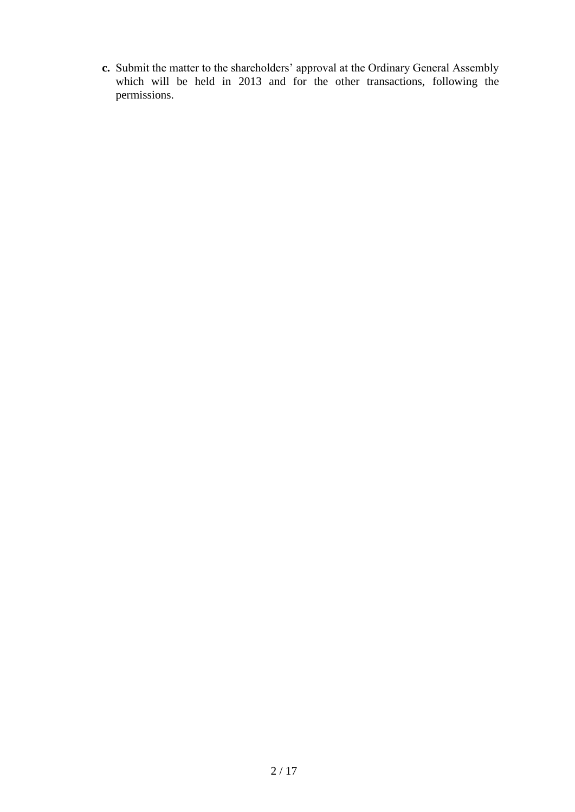**c.** Submit the matter to the shareholders' approval at the Ordinary General Assembly which will be held in 2013 and for the other transactions, following the permissions.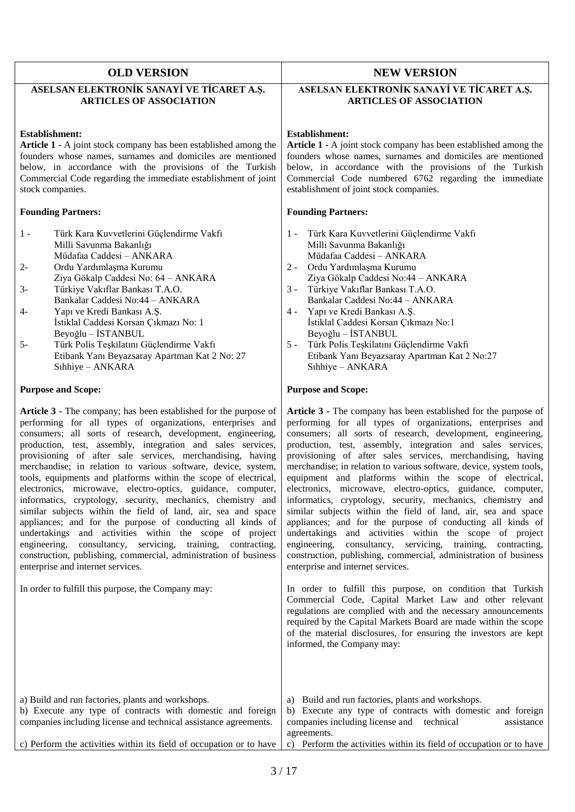| <b>OLD VERSION</b>                                                                                                                                                                                                                                                                                                                                                                                                                                                                                                                                                                                                                                                                                                                                                                                                                                                                                                                                                                                                         | <b>NEW VERSION</b>                                                                                                                                                                                                                                                                                                                                                                                                                                                                                                                                                                                                                                                                                                                                                                                                                                                                                                                                                                                                                                                                                                                                                                                                              |  |
|----------------------------------------------------------------------------------------------------------------------------------------------------------------------------------------------------------------------------------------------------------------------------------------------------------------------------------------------------------------------------------------------------------------------------------------------------------------------------------------------------------------------------------------------------------------------------------------------------------------------------------------------------------------------------------------------------------------------------------------------------------------------------------------------------------------------------------------------------------------------------------------------------------------------------------------------------------------------------------------------------------------------------|---------------------------------------------------------------------------------------------------------------------------------------------------------------------------------------------------------------------------------------------------------------------------------------------------------------------------------------------------------------------------------------------------------------------------------------------------------------------------------------------------------------------------------------------------------------------------------------------------------------------------------------------------------------------------------------------------------------------------------------------------------------------------------------------------------------------------------------------------------------------------------------------------------------------------------------------------------------------------------------------------------------------------------------------------------------------------------------------------------------------------------------------------------------------------------------------------------------------------------|--|
| ASELSAN ELEKTRONİK SANAYİ VE TİCARET A.Ş.<br><b>ARTICLES OF ASSOCIATION</b>                                                                                                                                                                                                                                                                                                                                                                                                                                                                                                                                                                                                                                                                                                                                                                                                                                                                                                                                                | ASELSAN ELEKTRONİK SANAYİ VE TİCARET A.Ş.<br><b>ARTICLES OF ASSOCIATION</b>                                                                                                                                                                                                                                                                                                                                                                                                                                                                                                                                                                                                                                                                                                                                                                                                                                                                                                                                                                                                                                                                                                                                                     |  |
| <b>Establishment:</b><br>Article 1 - A joint stock company has been established among the<br>founders whose names, surnames and domiciles are mentioned<br>below, in accordance with the provisions of the Turkish<br>Commercial Code regarding the immediate establishment of joint<br>stock companies.                                                                                                                                                                                                                                                                                                                                                                                                                                                                                                                                                                                                                                                                                                                   | <b>Establishment:</b><br>Article 1 - A joint stock company has been established among the<br>founders whose names, surnames and domiciles are mentioned<br>below, in accordance with the provisions of the Turkish<br>Commercial Code numbered 6762 regarding the immediate<br>establishment of joint stock companies.                                                                                                                                                                                                                                                                                                                                                                                                                                                                                                                                                                                                                                                                                                                                                                                                                                                                                                          |  |
| <b>Founding Partners:</b>                                                                                                                                                                                                                                                                                                                                                                                                                                                                                                                                                                                                                                                                                                                                                                                                                                                                                                                                                                                                  | <b>Founding Partners:</b>                                                                                                                                                                                                                                                                                                                                                                                                                                                                                                                                                                                                                                                                                                                                                                                                                                                                                                                                                                                                                                                                                                                                                                                                       |  |
| Türk Kara Kuvvetlerini Güçlendirme Vakfı<br>$1 -$<br>Milli Savunma Bakanlığı<br>Müdafaa Caddesi - ANKARA<br>$2 -$<br>Ordu Yardımlaşma Kurumu<br>Ziya Gökalp Caddesi No: 64 - ANKARA<br>$3-$<br>Türkiye Vakıflar Bankası T.A.O.<br>Bankalar Caddesi No:44 - ANKARA<br>$4-$<br>Yapı ve Kredi Bankası A.Ş.<br>İstiklal Caddesi Korsan Çıkmazı No: 1<br>Beyoğlu – İSTANBUL<br>Türk Polis Teşkilatını Güçlendirme Vakfı<br>$5-$<br>Etibank Yanı Beyazsaray Apartman Kat 2 No: 27<br>Sıhhiye - ANKARA                                                                                                                                                                                                                                                                                                                                                                                                                                                                                                                            | Türk Kara Kuvvetlerini Güçlendirme Vakfı<br>$1 -$<br>Milli Savunma Bakanlığı<br>Müdafaa Caddesi - ANKARA<br>Ordu Yardımlaşma Kurumu<br>$2 -$<br>Ziya Gökalp Caddesi No:44 - ANKARA<br>Türkiye Vakıflar Bankası T.A.O.<br>$3 -$<br>Bankalar Caddesi No:44 - ANKARA<br>Yapı ve Kredi Bankası A.Ş.<br>$4 -$<br>İstiklal Caddesi Korsan Çıkmazı No:1<br>Beyoğlu – İSTANBUL<br>Türk Polis Teşkilatını Güçlendirme Vakfı<br>$5 -$<br>Etibank Yanı Beyazsaray Apartman Kat 2 No:27<br>Sıhhiye - ANKARA                                                                                                                                                                                                                                                                                                                                                                                                                                                                                                                                                                                                                                                                                                                                 |  |
| <b>Purpose and Scope:</b>                                                                                                                                                                                                                                                                                                                                                                                                                                                                                                                                                                                                                                                                                                                                                                                                                                                                                                                                                                                                  | <b>Purpose and Scope:</b>                                                                                                                                                                                                                                                                                                                                                                                                                                                                                                                                                                                                                                                                                                                                                                                                                                                                                                                                                                                                                                                                                                                                                                                                       |  |
| Article 3 - The company; has been established for the purpose of<br>performing for all types of organizations, enterprises and<br>consumers; all sorts of research, development, engineering,<br>production, test, assembly, integration and sales services,<br>provisioning of after sale services, merchandising, having<br>merchandise; in relation to various software, device, system,<br>tools, equipments and platforms within the scope of electrical,<br>electronics, microwave, electro-optics, guidance, computer,<br>informatics, cryptology, security, mechanics, chemistry and<br>similar subjects within the field of land, air, sea and space<br>appliances; and for the purpose of conducting all kinds of<br>undertakings and activities within the scope of project<br>consultancy, servicing, training,<br>engineering,<br>contracting,<br>construction, publishing, commercial, administration of business<br>enterprise and internet services.<br>In order to fulfill this purpose, the Company may: | Article 3 - The company has been established for the purpose of<br>performing for all types of organizations, enterprises and<br>consumers; all sorts of research, development, engineering,<br>production, test, assembly, integration and sales services,<br>provisioning of after sales services, merchandising, having<br>merchandise; in relation to various software, device, system tools,<br>equipment and platforms within the scope of electrical,<br>electronics, microwave, electro-optics, guidance, computer,<br>informatics, cryptology, security, mechanics, chemistry and<br>similar subjects within the field of land, air, sea and space<br>appliances; and for the purpose of conducting all kinds of<br>undertakings and activities within the scope of project<br>engineering,<br>consultancy, servicing, training,<br>contracting,<br>construction, publishing, commercial, administration of business<br>enterprise and internet services.<br>In order to fulfill this purpose, on condition that Turkish<br>Commercial Code, Capital Market Law and other relevant<br>regulations are complied with and the necessary announcements<br>required by the Capital Markets Board are made within the scope |  |
| a) Build and run factories, plants and workshops.<br>b) Execute any type of contracts with domestic and foreign<br>companies including license and technical assistance agreements.<br>c) Perform the activities within its field of occupation or to have                                                                                                                                                                                                                                                                                                                                                                                                                                                                                                                                                                                                                                                                                                                                                                 | of the material disclosures, for ensuring the investors are kept<br>informed, the Company may:<br>a) Build and run factories, plants and workshops.<br>b) Execute any type of contracts with domestic and foreign<br>companies including license and technical<br>assistance<br>agreements.<br>c) Perform the activities within its field of occupation or to have                                                                                                                                                                                                                                                                                                                                                                                                                                                                                                                                                                                                                                                                                                                                                                                                                                                              |  |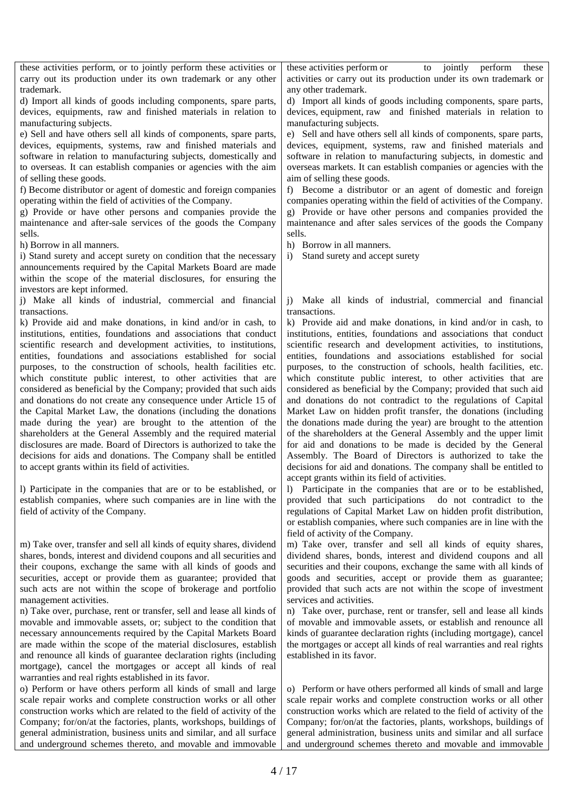these activities perform, or to jointly perform these activities or carry out its production under its own trademark or any other trademark.

d) Import all kinds of goods including components, spare parts, devices, equipments, raw and finished materials in relation to manufacturing subjects.

e) Sell and have others sell all kinds of components, spare parts, devices, equipments, systems, raw and finished materials and software in relation to manufacturing subjects, domestically and to overseas. It can establish companies or agencies with the aim of selling these goods.

f) Become distributor or agent of domestic and foreign companies operating within the field of activities of the Company.

g) Provide or have other persons and companies provide the maintenance and after-sale services of the goods the Company sells.

h) Borrow in all manners.

i) Stand surety and accept surety on condition that the necessary announcements required by the Capital Markets Board are made within the scope of the material disclosures, for ensuring the investors are kept informed.

j) Make all kinds of industrial, commercial and financial transactions.

k) Provide aid and make donations, in kind and/or in cash, to institutions, entities, foundations and associations that conduct scientific research and development activities, to institutions, entities, foundations and associations established for social purposes, to the construction of schools, health facilities etc. which constitute public interest, to other activities that are considered as beneficial by the Company; provided that such aids and donations do not create any consequence under Article 15 of the Capital Market Law, the donations (including the donations made during the year) are brought to the attention of the shareholders at the General Assembly and the required material disclosures are made. Board of Directors is authorized to take the decisions for aids and donations. The Company shall be entitled to accept grants within its field of activities.

l) Participate in the companies that are or to be established, or establish companies, where such companies are in line with the field of activity of the Company.

m) Take over, transfer and sell all kinds of equity shares, dividend shares, bonds, interest and dividend coupons and all securities and their coupons, exchange the same with all kinds of goods and securities, accept or provide them as guarantee; provided that such acts are not within the scope of brokerage and portfolio management activities.

n) Take over, purchase, rent or transfer, sell and lease all kinds of movable and immovable assets, or; subject to the condition that necessary announcements required by the Capital Markets Board are made within the scope of the material disclosures, establish and renounce all kinds of guarantee declaration rights (including mortgage), cancel the mortgages or accept all kinds of real warranties and real rights established in its favor.

o) Perform or have others perform all kinds of small and large scale repair works and complete construction works or all other construction works which are related to the field of activity of the Company; for/on/at the factories, plants, workshops, buildings of general administration, business units and similar, and all surface and underground schemes thereto, and movable and immovable

these activities perform or to jointly perform these activities or carry out its production under its own trademark or any other trademark.

d) Import all kinds of goods including components, spare parts, devices, equipment, raw and finished materials in relation to manufacturing subjects.

e) Sell and have others sell all kinds of components, spare parts, devices, equipment, systems, raw and finished materials and software in relation to manufacturing subjects, in domestic and overseas markets. It can establish companies or agencies with the aim of selling these goods.

f) Become a distributor or an agent of domestic and foreign companies operating within the field of activities of the Company. g) Provide or have other persons and companies provided the maintenance and after sales services of the goods the Company sells.

h) Borrow in all manners.

i) Stand surety and accept surety

j) Make all kinds of industrial, commercial and financial transactions.

k) Provide aid and make donations, in kind and/or in cash, to institutions, entities, foundations and associations that conduct scientific research and development activities, to institutions, entities, foundations and associations established for social purposes, to the construction of schools, health facilities, etc. which constitute public interest, to other activities that are considered as beneficial by the Company; provided that such aid and donations do not contradict to the regulations of Capital Market Law on hidden profit transfer, the donations (including the donations made during the year) are brought to the attention of the shareholders at the General Assembly and the upper limit for aid and donations to be made is decided by the General Assembly. The Board of Directors is authorized to take the decisions for aid and donations. The company shall be entitled to accept grants within its field of activities.

l) Participate in the companies that are or to be established, provided that such participations do not contradict to the regulations of Capital Market Law on hidden profit distribution, or establish companies, where such companies are in line with the field of activity of the Company.

m) Take over, transfer and sell all kinds of equity shares, dividend shares, bonds, interest and dividend coupons and all securities and their coupons, exchange the same with all kinds of goods and securities, accept or provide them as guarantee; provided that such acts are not within the scope of investment services and activities.

n) Take over, purchase, rent or transfer, sell and lease all kinds of movable and immovable assets, or establish and renounce all kinds of guarantee declaration rights (including mortgage), cancel the mortgages or accept all kinds of real warranties and real rights established in its favor.

o) Perform or have others performed all kinds of small and large scale repair works and complete construction works or all other construction works which are related to the field of activity of the Company; for/on/at the factories, plants, workshops, buildings of general administration, business units and similar and all surface and underground schemes thereto and movable and immovable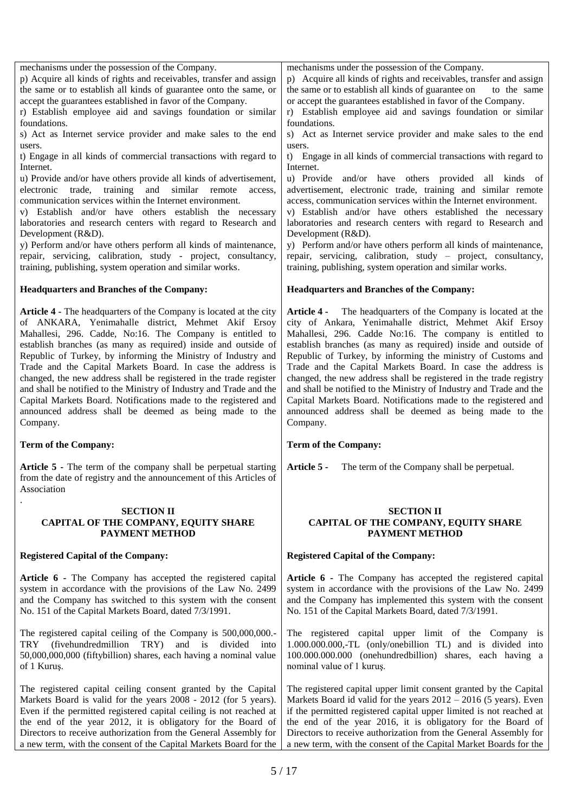| s) Act as Internet service provider and make sales to the end<br>users.                                                          | s) Act as Internet service provider and make sales to the end<br>users.                                                                 |  |
|----------------------------------------------------------------------------------------------------------------------------------|-----------------------------------------------------------------------------------------------------------------------------------------|--|
| t) Engage in all kinds of commercial transactions with regard to                                                                 | t) Engage in all kinds of commercial transactions with regard to                                                                        |  |
| Internet.                                                                                                                        | Internet.                                                                                                                               |  |
| u) Provide and/or have others provide all kinds of advertisement,<br>electronic trade, training and similar remote               | u) Provide and/or have others provided all kinds of<br>advertisement, electronic trade, training and similar remote                     |  |
| access,<br>communication services within the Internet environment.                                                               | access, communication services within the Internet environment.                                                                         |  |
| v) Establish and/or have others establish the necessary                                                                          | v) Establish and/or have others established the necessary                                                                               |  |
| laboratories and research centers with regard to Research and<br>Development (R&D).                                              | laboratories and research centers with regard to Research and<br>Development (R&D).                                                     |  |
| y) Perform and/or have others perform all kinds of maintenance,                                                                  | y) Perform and/or have others perform all kinds of maintenance,                                                                         |  |
| repair, servicing, calibration, study - project, consultancy,<br>training, publishing, system operation and similar works.       | repair, servicing, calibration, study – project, consultancy,<br>training, publishing, system operation and similar works.              |  |
|                                                                                                                                  |                                                                                                                                         |  |
| <b>Headquarters and Branches of the Company:</b>                                                                                 | <b>Headquarters and Branches of the Company:</b>                                                                                        |  |
| Article 4 - The headquarters of the Company is located at the city                                                               | The headquarters of the Company is located at the<br><b>Article 4 -</b>                                                                 |  |
| of ANKARA, Yenimahalle district, Mehmet Akif Ersoy<br>Mahallesi, 296. Cadde, No:16. The Company is entitled to                   | city of Ankara, Yenimahalle district, Mehmet Akif Ersoy<br>Mahallesi, 296. Cadde No:16. The company is entitled to                      |  |
| establish branches (as many as required) inside and outside of                                                                   | establish branches (as many as required) inside and outside of                                                                          |  |
| Republic of Turkey, by informing the Ministry of Industry and<br>Trade and the Capital Markets Board. In case the address is     | Republic of Turkey, by informing the ministry of Customs and<br>Trade and the Capital Markets Board. In case the address is             |  |
| changed, the new address shall be registered in the trade register                                                               | changed, the new address shall be registered in the trade registry                                                                      |  |
| and shall be notified to the Ministry of Industry and Trade and the                                                              | and shall be notified to the Ministry of Industry and Trade and the<br>Capital Markets Board. Notifications made to the registered and  |  |
| Capital Markets Board. Notifications made to the registered and<br>announced address shall be deemed as being made to the        | announced address shall be deemed as being made to the                                                                                  |  |
| Company.                                                                                                                         | Company.                                                                                                                                |  |
|                                                                                                                                  |                                                                                                                                         |  |
| <b>Term of the Company:</b>                                                                                                      | Term of the Company:                                                                                                                    |  |
| Article 5 - The term of the company shall be perpetual starting                                                                  | Article 5 -<br>The term of the Company shall be perpetual.                                                                              |  |
| from the date of registry and the announcement of this Articles of                                                               |                                                                                                                                         |  |
| Association                                                                                                                      |                                                                                                                                         |  |
| <b>SECTION II</b>                                                                                                                | <b>SECTION II</b>                                                                                                                       |  |
| CAPITAL OF THE COMPANY, EQUITY SHARE<br>PAYMENT METHOD                                                                           | CAPITAL OF THE COMPANY, EQUITY SHARE<br>PAYMENT METHOD                                                                                  |  |
| <b>Registered Capital of the Company:</b>                                                                                        | <b>Registered Capital of the Company:</b>                                                                                               |  |
| Article 6 - The Company has accepted the registered capital                                                                      | Article 6 - The Company has accepted the registered capital                                                                             |  |
| system in accordance with the provisions of the Law No. 2499                                                                     | system in accordance with the provisions of the Law No. 2499                                                                            |  |
| and the Company has switched to this system with the consent<br>No. 151 of the Capital Markets Board, dated 7/3/1991.            | and the Company has implemented this system with the consent<br>No. 151 of the Capital Markets Board, dated 7/3/1991.                   |  |
|                                                                                                                                  |                                                                                                                                         |  |
| The registered capital ceiling of the Company is 500,000,000.-<br>TRY (fivehundredmillion<br>and is<br>TRY)<br>divided<br>into   | The registered capital upper limit of the Company is<br>1.000.000.000,-TL (only/onebillion TL) and is divided into                      |  |
| 50,000,000,000 (fiftybillion) shares, each having a nominal value                                                                | 100.000.000.000 (onehundredbillion) shares, each having a                                                                               |  |
| of 1 Kuruş.                                                                                                                      | nominal value of 1 kuruş.                                                                                                               |  |
| The registered capital ceiling consent granted by the Capital<br>Markets Board is valid for the years 2008 - 2012 (for 5 years). | The registered capital upper limit consent granted by the Capital<br>Markets Board id valid for the years $2012 - 2016$ (5 years). Even |  |

the end of the year 2016, it is obligatory for the Board of Directors to receive authorization from the General Assembly for a new term, with the consent of the Capital Market Boards for the

the end of the year 2012, it is obligatory for the Board of Directors to receive authorization from the General Assembly for a new term, with the consent of the Capital Markets Board for the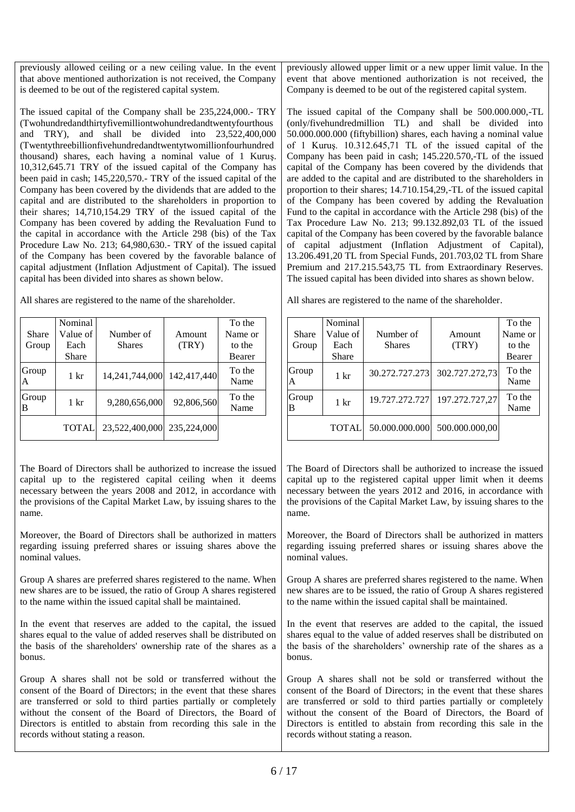previously allowed ceiling or a new ceiling value. In the event that above mentioned authorization is not received, the Company is deemed to be out of the registered capital system.

The issued capital of the Company shall be 235,224,000.- TRY (Twohundredandthirtyfivemilliontwohundredandtwentyfourthous and TRY), and shall be divided into 23,522,400,000 (Twentythreebillionfivehundredandtwentytwomillionfourhundred thousand) shares, each having a nominal value of 1 Kuruş. 10,312,645.71 TRY of the issued capital of the Company has been paid in cash; 145,220,570.- TRY of the issued capital of the Company has been covered by the dividends that are added to the capital and are distributed to the shareholders in proportion to their shares; 14,710,154.29 TRY of the issued capital of the Company has been covered by adding the Revaluation Fund to the capital in accordance with the Article 298 (bis) of the Tax Procedure Law No. 213; 64,980,630.- TRY of the issued capital of the Company has been covered by the favorable balance of capital adjustment (Inflation Adjustment of Capital). The issued capital has been divided into shares as shown below.

All shares are registered to the name of the shareholder.

|            | Nominal      |                |               | To the         |
|------------|--------------|----------------|---------------|----------------|
| Share      | Value of     | Number of      | <b>Amount</b> | Name or        |
| Group      | Each         | <b>Shares</b>  | (TRY)         | to the         |
|            | Share        |                |               | Bearer         |
| Group<br>A | 1 kr         | 14,241,744,000 | 142,417,440   | To the<br>Name |
| Group<br>B | 1 kr         | 9,280,656,000  | 92,806,560    | To the<br>Name |
|            | <b>TOTAL</b> | 23,522,400,000 | 235,224,000   |                |

The Board of Directors shall be authorized to increase the issued capital up to the registered capital ceiling when it deems necessary between the years 2008 and 2012, in accordance with the provisions of the Capital Market Law, by issuing shares to the name.

Moreover, the Board of Directors shall be authorized in matters regarding issuing preferred shares or issuing shares above the nominal values.

Group A shares are preferred shares registered to the name. When new shares are to be issued, the ratio of Group A shares registered to the name within the issued capital shall be maintained.

In the event that reserves are added to the capital, the issued shares equal to the value of added reserves shall be distributed on the basis of the shareholders' ownership rate of the shares as a bonus.

Group A shares shall not be sold or transferred without the consent of the Board of Directors; in the event that these shares are transferred or sold to third parties partially or completely without the consent of the Board of Directors, the Board of Directors is entitled to abstain from recording this sale in the records without stating a reason.

previously allowed upper limit or a new upper limit value. In the event that above mentioned authorization is not received, the Company is deemed to be out of the registered capital system.

The issued capital of the Company shall be 500.000.000,-TL (only/fivehundredmillion TL) and shall be divided into 50.000.000.000 (fiftybillion) shares, each having a nominal value of 1 Kuruş. 10.312.645,71 TL of the issued capital of the Company has been paid in cash; 145.220.570,-TL of the issued capital of the Company has been covered by the dividends that are added to the capital and are distributed to the shareholders in proportion to their shares; 14.710.154,29,-TL of the issued capital of the Company has been covered by adding the Revaluation Fund to the capital in accordance with the Article 298 (bis) of the Tax Procedure Law No. 213; 99.132.892,03 TL of the issued capital of the Company has been covered by the favorable balance of capital adjustment (Inflation Adjustment of Capital), 13.206.491,20 TL from Special Funds, 201.703,02 TL from Share Premium and 217.215.543,75 TL from Extraordinary Reserves. The issued capital has been divided into shares as shown below.

All shares are registered to the name of the shareholder.

| Share<br>Group | Nominal<br>Value of<br>Each<br><b>Share</b> | Number of<br><b>Shares</b> | Amount<br>(TRY) | To the<br>Name or<br>to the<br>Bearer |
|----------------|---------------------------------------------|----------------------------|-----------------|---------------------------------------|
| Group<br>A     | $1 \mathrm{kr}$                             | 30.272.727.273             | 302.727.272,73  | To the<br>Name                        |
| Group<br>В     | $1 \mathrm{kr}$                             | 19.727.272.727             | 197.272.727,27  | To the<br>Name                        |
|                | <b>TOTAL</b>                                | 50.000.000.000             | 500.000.000,00  |                                       |

The Board of Directors shall be authorized to increase the issued capital up to the registered capital upper limit when it deems necessary between the years 2012 and 2016, in accordance with the provisions of the Capital Market Law, by issuing shares to the name.

Moreover, the Board of Directors shall be authorized in matters regarding issuing preferred shares or issuing shares above the nominal values.

Group A shares are preferred shares registered to the name. When new shares are to be issued, the ratio of Group A shares registered to the name within the issued capital shall be maintained.

In the event that reserves are added to the capital, the issued shares equal to the value of added reserves shall be distributed on the basis of the shareholders' ownership rate of the shares as a bonus.

Group A shares shall not be sold or transferred without the consent of the Board of Directors; in the event that these shares are transferred or sold to third parties partially or completely without the consent of the Board of Directors, the Board of Directors is entitled to abstain from recording this sale in the records without stating a reason.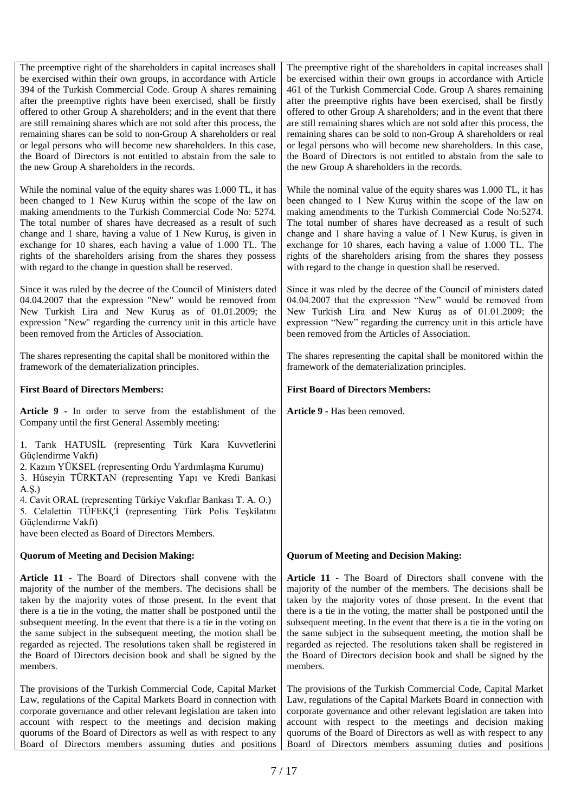| The preemptive right of the shareholders in capital increases shall<br>be exercised within their own groups, in accordance with Article<br>394 of the Turkish Commercial Code. Group A shares remaining<br>after the preemptive rights have been exercised, shall be firstly<br>offered to other Group A shareholders; and in the event that there<br>are still remaining shares which are not sold after this process, the<br>remaining shares can be sold to non-Group A shareholders or real<br>or legal persons who will become new shareholders. In this case,<br>the Board of Directors is not entitled to abstain from the sale to<br>the new Group A shareholders in the records. | The preemptive right of the shareholders in capital increases shall<br>be exercised within their own groups in accordance with Article<br>461 of the Turkish Commercial Code. Group A shares remaining<br>after the preemptive rights have been exercised, shall be firstly<br>offered to other Group A shareholders; and in the event that there<br>are still remaining shares which are not sold after this process, the<br>remaining shares can be sold to non-Group A shareholders or real<br>or legal persons who will become new shareholders. In this case,<br>the Board of Directors is not entitled to abstain from the sale to<br>the new Group A shareholders in the records. |  |
|-------------------------------------------------------------------------------------------------------------------------------------------------------------------------------------------------------------------------------------------------------------------------------------------------------------------------------------------------------------------------------------------------------------------------------------------------------------------------------------------------------------------------------------------------------------------------------------------------------------------------------------------------------------------------------------------|------------------------------------------------------------------------------------------------------------------------------------------------------------------------------------------------------------------------------------------------------------------------------------------------------------------------------------------------------------------------------------------------------------------------------------------------------------------------------------------------------------------------------------------------------------------------------------------------------------------------------------------------------------------------------------------|--|
| While the nominal value of the equity shares was 1.000 TL, it has<br>been changed to 1 New Kuruş within the scope of the law on<br>making amendments to the Turkish Commercial Code No: 5274.<br>The total number of shares have decreased as a result of such<br>change and 1 share, having a value of 1 New Kuruş, is given in<br>exchange for 10 shares, each having a value of 1.000 TL. The<br>rights of the shareholders arising from the shares they possess<br>with regard to the change in question shall be reserved.                                                                                                                                                           | While the nominal value of the equity shares was 1.000 TL, it has<br>been changed to 1 New Kuruş within the scope of the law on<br>making amendments to the Turkish Commercial Code No:5274.<br>The total number of shares have decreased as a result of such<br>change and 1 share having a value of 1 New Kuruş, is given in<br>exchange for 10 shares, each having a value of 1.000 TL. The<br>rights of the shareholders arising from the shares they possess<br>with regard to the change in question shall be reserved.                                                                                                                                                            |  |
| Since it was ruled by the decree of the Council of Ministers dated<br>04.04.2007 that the expression "New" would be removed from<br>New Turkish Lira and New Kuruş as of 01.01.2009; the<br>expression "New" regarding the currency unit in this article have<br>been removed from the Articles of Association.                                                                                                                                                                                                                                                                                                                                                                           | Since it was riled by the decree of the Council of ministers dated<br>04.04.2007 that the expression "New" would be removed from<br>New Turkish Lira and New Kuruş as of 01.01.2009; the<br>expression "New" regarding the currency unit in this article have<br>been removed from the Articles of Association.                                                                                                                                                                                                                                                                                                                                                                          |  |
| The shares representing the capital shall be monitored within the<br>framework of the dematerialization principles.                                                                                                                                                                                                                                                                                                                                                                                                                                                                                                                                                                       | The shares representing the capital shall be monitored within the<br>framework of the dematerialization principles.                                                                                                                                                                                                                                                                                                                                                                                                                                                                                                                                                                      |  |
| <b>First Board of Directors Members:</b>                                                                                                                                                                                                                                                                                                                                                                                                                                                                                                                                                                                                                                                  | <b>First Board of Directors Members:</b>                                                                                                                                                                                                                                                                                                                                                                                                                                                                                                                                                                                                                                                 |  |
| Article 9 - In order to serve from the establishment of the                                                                                                                                                                                                                                                                                                                                                                                                                                                                                                                                                                                                                               | Article 9 - Has been removed.                                                                                                                                                                                                                                                                                                                                                                                                                                                                                                                                                                                                                                                            |  |
| Company until the first General Assembly meeting:                                                                                                                                                                                                                                                                                                                                                                                                                                                                                                                                                                                                                                         |                                                                                                                                                                                                                                                                                                                                                                                                                                                                                                                                                                                                                                                                                          |  |
| 1. Tarık HATUSİL (representing Türk Kara Kuvvetlerini<br>Güçlendirme Vakfı)<br>2. Kazım YÜKSEL (representing Ordu Yardımlaşma Kurumu)<br>3. Hüseyin TÜRKTAN (representing Yapı ve Kredi Bankasi<br>$A.S.$ )<br>4. Cavit ORAL (representing Türkiye Vakıflar Bankası T. A. O.)<br>5. Celalettin TÜFEKÇİ (representing Türk Polis Teşkilatını<br>Güçlendirme Vakfı)<br>have been elected as Board of Directors Members.                                                                                                                                                                                                                                                                     |                                                                                                                                                                                                                                                                                                                                                                                                                                                                                                                                                                                                                                                                                          |  |
| <b>Quorum of Meeting and Decision Making:</b>                                                                                                                                                                                                                                                                                                                                                                                                                                                                                                                                                                                                                                             | <b>Quorum of Meeting and Decision Making:</b>                                                                                                                                                                                                                                                                                                                                                                                                                                                                                                                                                                                                                                            |  |
| Article 11 - The Board of Directors shall convene with the<br>majority of the number of the members. The decisions shall be<br>taken by the majority votes of those present. In the event that<br>there is a tie in the voting, the matter shall be postponed until the<br>subsequent meeting. In the event that there is a tie in the voting on<br>the same subject in the subsequent meeting, the motion shall be<br>regarded as rejected. The resolutions taken shall be registered in<br>the Board of Directors decision book and shall be signed by the<br>members.                                                                                                                  | Article 11 - The Board of Directors shall convene with the<br>majority of the number of the members. The decisions shall be<br>taken by the majority votes of those present. In the event that<br>there is a tie in the voting, the matter shall be postponed until the<br>subsequent meeting. In the event that there is a tie in the voting on<br>the same subject in the subsequent meeting, the motion shall be<br>regarded as rejected. The resolutions taken shall be registered in<br>the Board of Directors decision book and shall be signed by the<br>members.                                                                                                                 |  |

Board of Directors members assuming duties and positions

Board of Directors members assuming duties and positions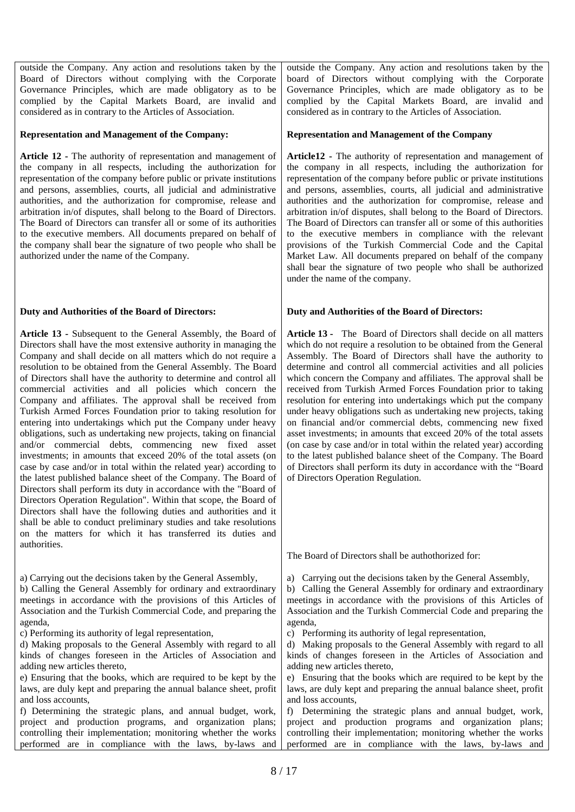outside the Company. Any action and resolutions taken by the Board of Directors without complying with the Corporate Governance Principles, which are made obligatory as to be complied by the Capital Markets Board, are invalid and considered as in contrary to the Articles of Association.

#### **Representation and Management of the Company:**

**Article 12 -** The authority of representation and management of the company in all respects, including the authorization for representation of the company before public or private institutions and persons, assemblies, courts, all judicial and administrative authorities, and the authorization for compromise, release and arbitration in/of disputes, shall belong to the Board of Directors. The Board of Directors can transfer all or some of its authorities to the executive members. All documents prepared on behalf of the company shall bear the signature of two people who shall be authorized under the name of the Company.

## **Duty and Authorities of the Board of Directors:**

**Article 13 -** Subsequent to the General Assembly, the Board of Directors shall have the most extensive authority in managing the Company and shall decide on all matters which do not require a resolution to be obtained from the General Assembly. The Board of Directors shall have the authority to determine and control all commercial activities and all policies which concern the Company and affiliates. The approval shall be received from Turkish Armed Forces Foundation prior to taking resolution for entering into undertakings which put the Company under heavy obligations, such as undertaking new projects, taking on financial and/or commercial debts, commencing new fixed asset investments; in amounts that exceed 20% of the total assets (on case by case and/or in total within the related year) according to the latest published balance sheet of the Company. The Board of Directors shall perform its duty in accordance with the "Board of Directors Operation Regulation". Within that scope, the Board of Directors shall have the following duties and authorities and it shall be able to conduct preliminary studies and take resolutions on the matters for which it has transferred its duties and authorities.

a) Carrying out the decisions taken by the General Assembly, b) Calling the General Assembly for ordinary and extraordinary meetings in accordance with the provisions of this Articles of Association and the Turkish Commercial Code, and preparing the

agenda,

c) Performing its authority of legal representation,

d) Making proposals to the General Assembly with regard to all kinds of changes foreseen in the Articles of Association and adding new articles thereto,

e) Ensuring that the books, which are required to be kept by the laws, are duly kept and preparing the annual balance sheet, profit and loss accounts,

f) Determining the strategic plans, and annual budget, work, project and production programs, and organization plans; controlling their implementation; monitoring whether the works performed are in compliance with the laws, by-laws and

outside the Company. Any action and resolutions taken by the board of Directors without complying with the Corporate Governance Principles, which are made obligatory as to be complied by the Capital Markets Board, are invalid and considered as in contrary to the Articles of Association.

#### **Representation and Management of the Company**

**Article12 -** The authority of representation and management of the company in all respects, including the authorization for representation of the company before public or private institutions and persons, assemblies, courts, all judicial and administrative authorities and the authorization for compromise, release and arbitration in/of disputes, shall belong to the Board of Directors. The Board of Directors can transfer all or some of this authorities to the executive members in compliance with the relevant provisions of the Turkish Commercial Code and the Capital Market Law. All documents prepared on behalf of the company shall bear the signature of two people who shall be authorized under the name of the company.

#### **Duty and Authorities of the Board of Directors:**

**Article 13 -** The Board of Directors shall decide on all matters which do not require a resolution to be obtained from the General Assembly. The Board of Directors shall have the authority to determine and control all commercial activities and all policies which concern the Company and affiliates. The approval shall be received from Turkish Armed Forces Foundation prior to taking resolution for entering into undertakings which put the company under heavy obligations such as undertaking new projects, taking on financial and/or commercial debts, commencing new fixed asset investments; in amounts that exceed 20% of the total assets (on case by case and/or in total within the related year) according to the latest published balance sheet of the Company. The Board of Directors shall perform its duty in accordance with the "Board of Directors Operation Regulation.

The Board of Directors shall be authothorized for:

a) Carrying out the decisions taken by the General Assembly,

b) Calling the General Assembly for ordinary and extraordinary meetings in accordance with the provisions of this Articles of Association and the Turkish Commercial Code and preparing the agenda,

c) Performing its authority of legal representation,

d) Making proposals to the General Assembly with regard to all kinds of changes foreseen in the Articles of Association and adding new articles thereto,

e) Ensuring that the books which are required to be kept by the laws, are duly kept and preparing the annual balance sheet, profit and loss accounts,

f) Determining the strategic plans and annual budget, work, project and production programs and organization plans; controlling their implementation; monitoring whether the works performed are in compliance with the laws, by-laws and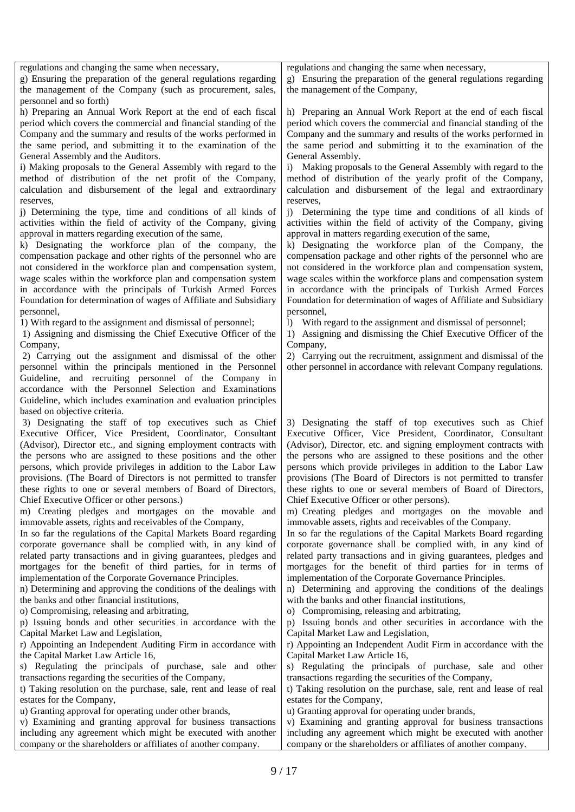| regulations and changing the same when necessary,                                                                                                                                                                                                                                                                                                                                                                                                                                                                                                                                                                                                                                                                                       | regulations and changing the same when necessary,                                                                                                                                                                                                                                                                                                                                                                                                                                                                                                                                                                                                                                                     |
|-----------------------------------------------------------------------------------------------------------------------------------------------------------------------------------------------------------------------------------------------------------------------------------------------------------------------------------------------------------------------------------------------------------------------------------------------------------------------------------------------------------------------------------------------------------------------------------------------------------------------------------------------------------------------------------------------------------------------------------------|-------------------------------------------------------------------------------------------------------------------------------------------------------------------------------------------------------------------------------------------------------------------------------------------------------------------------------------------------------------------------------------------------------------------------------------------------------------------------------------------------------------------------------------------------------------------------------------------------------------------------------------------------------------------------------------------------------|
| g) Ensuring the preparation of the general regulations regarding                                                                                                                                                                                                                                                                                                                                                                                                                                                                                                                                                                                                                                                                        | g) Ensuring the preparation of the general regulations regarding                                                                                                                                                                                                                                                                                                                                                                                                                                                                                                                                                                                                                                      |
| the management of the Company (such as procurement, sales,                                                                                                                                                                                                                                                                                                                                                                                                                                                                                                                                                                                                                                                                              | the management of the Company,                                                                                                                                                                                                                                                                                                                                                                                                                                                                                                                                                                                                                                                                        |
| personnel and so forth)<br>h) Preparing an Annual Work Report at the end of each fiscal<br>period which covers the commercial and financial standing of the<br>Company and the summary and results of the works performed in<br>the same period, and submitting it to the examination of the                                                                                                                                                                                                                                                                                                                                                                                                                                            | h) Preparing an Annual Work Report at the end of each fiscal<br>period which covers the commercial and financial standing of the<br>Company and the summary and results of the works performed in<br>the same period and submitting it to the examination of the                                                                                                                                                                                                                                                                                                                                                                                                                                      |
| General Assembly and the Auditors.                                                                                                                                                                                                                                                                                                                                                                                                                                                                                                                                                                                                                                                                                                      | General Assembly.                                                                                                                                                                                                                                                                                                                                                                                                                                                                                                                                                                                                                                                                                     |
| i) Making proposals to the General Assembly with regard to the                                                                                                                                                                                                                                                                                                                                                                                                                                                                                                                                                                                                                                                                          | i) Making proposals to the General Assembly with regard to the                                                                                                                                                                                                                                                                                                                                                                                                                                                                                                                                                                                                                                        |
| method of distribution of the net profit of the Company,                                                                                                                                                                                                                                                                                                                                                                                                                                                                                                                                                                                                                                                                                | method of distribution of the yearly profit of the Company,                                                                                                                                                                                                                                                                                                                                                                                                                                                                                                                                                                                                                                           |
| calculation and disbursement of the legal and extraordinary                                                                                                                                                                                                                                                                                                                                                                                                                                                                                                                                                                                                                                                                             | calculation and disbursement of the legal and extraordinary                                                                                                                                                                                                                                                                                                                                                                                                                                                                                                                                                                                                                                           |
| reserves,                                                                                                                                                                                                                                                                                                                                                                                                                                                                                                                                                                                                                                                                                                                               | reserves.                                                                                                                                                                                                                                                                                                                                                                                                                                                                                                                                                                                                                                                                                             |
| j) Determining the type, time and conditions of all kinds of                                                                                                                                                                                                                                                                                                                                                                                                                                                                                                                                                                                                                                                                            | j) Determining the type time and conditions of all kinds of                                                                                                                                                                                                                                                                                                                                                                                                                                                                                                                                                                                                                                           |
| activities within the field of activity of the Company, giving                                                                                                                                                                                                                                                                                                                                                                                                                                                                                                                                                                                                                                                                          | activities within the field of activity of the Company, giving                                                                                                                                                                                                                                                                                                                                                                                                                                                                                                                                                                                                                                        |
| approval in matters regarding execution of the same,                                                                                                                                                                                                                                                                                                                                                                                                                                                                                                                                                                                                                                                                                    | approval in matters regarding execution of the same,                                                                                                                                                                                                                                                                                                                                                                                                                                                                                                                                                                                                                                                  |
| k) Designating the workforce plan of the company, the                                                                                                                                                                                                                                                                                                                                                                                                                                                                                                                                                                                                                                                                                   | k) Designating the workforce plan of the Company, the                                                                                                                                                                                                                                                                                                                                                                                                                                                                                                                                                                                                                                                 |
| compensation package and other rights of the personnel who are                                                                                                                                                                                                                                                                                                                                                                                                                                                                                                                                                                                                                                                                          | compensation package and other rights of the personnel who are                                                                                                                                                                                                                                                                                                                                                                                                                                                                                                                                                                                                                                        |
| not considered in the workforce plan and compensation system,                                                                                                                                                                                                                                                                                                                                                                                                                                                                                                                                                                                                                                                                           | not considered in the workforce plan and compensation system,                                                                                                                                                                                                                                                                                                                                                                                                                                                                                                                                                                                                                                         |
| wage scales within the workforce plan and compensation system                                                                                                                                                                                                                                                                                                                                                                                                                                                                                                                                                                                                                                                                           | wage scales within the workforce plans and compensation system                                                                                                                                                                                                                                                                                                                                                                                                                                                                                                                                                                                                                                        |
| in accordance with the principals of Turkish Armed Forces                                                                                                                                                                                                                                                                                                                                                                                                                                                                                                                                                                                                                                                                               | in accordance with the principals of Turkish Armed Forces                                                                                                                                                                                                                                                                                                                                                                                                                                                                                                                                                                                                                                             |
| Foundation for determination of wages of Affiliate and Subsidiary                                                                                                                                                                                                                                                                                                                                                                                                                                                                                                                                                                                                                                                                       | Foundation for determination of wages of Affiliate and Subsidiary                                                                                                                                                                                                                                                                                                                                                                                                                                                                                                                                                                                                                                     |
| personnel,                                                                                                                                                                                                                                                                                                                                                                                                                                                                                                                                                                                                                                                                                                                              | personnel,                                                                                                                                                                                                                                                                                                                                                                                                                                                                                                                                                                                                                                                                                            |
| 1) With regard to the assignment and dismissal of personnel;                                                                                                                                                                                                                                                                                                                                                                                                                                                                                                                                                                                                                                                                            | 1) With regard to the assignment and dismissal of personnel;                                                                                                                                                                                                                                                                                                                                                                                                                                                                                                                                                                                                                                          |
| 1) Assigning and dismissing the Chief Executive Officer of the                                                                                                                                                                                                                                                                                                                                                                                                                                                                                                                                                                                                                                                                          | 1) Assigning and dismissing the Chief Executive Officer of the                                                                                                                                                                                                                                                                                                                                                                                                                                                                                                                                                                                                                                        |
| Company,                                                                                                                                                                                                                                                                                                                                                                                                                                                                                                                                                                                                                                                                                                                                | Company,                                                                                                                                                                                                                                                                                                                                                                                                                                                                                                                                                                                                                                                                                              |
| 2) Carrying out the assignment and dismissal of the other<br>personnel within the principals mentioned in the Personnel<br>Guideline, and recruiting personnel of the Company in<br>accordance with the Personnel Selection and Examinations<br>Guideline, which includes examination and evaluation principles                                                                                                                                                                                                                                                                                                                                                                                                                         | 2) Carrying out the recruitment, assignment and dismissal of the<br>other personnel in accordance with relevant Company regulations.                                                                                                                                                                                                                                                                                                                                                                                                                                                                                                                                                                  |
| based on objective criteria.<br>3) Designating the staff of top executives such as Chief<br>Executive Officer, Vice President, Coordinator, Consultant<br>(Advisor), Director etc., and signing employment contracts with<br>the persons who are assigned to these positions and the other<br>persons, which provide privileges in addition to the Labor Law<br>provisions. (The Board of Directors is not permitted to transfer<br>these rights to one or several members of Board of Directors,<br>Chief Executive Officer or other persons.)<br>m) Creating pledges and mortgages on the movable and<br>immovable assets, rights and receivables of the Company,<br>In so far the regulations of the Capital Markets Board regarding | 3) Designating the staff of top executives such as Chief<br>Executive Officer, Vice President, Coordinator, Consultant<br>(Advisor), Director, etc. and signing employment contracts with<br>the persons who are assigned to these positions and the other<br>persons which provide privileges in addition to the Labor Law<br>provisions (The Board of Directors is not permitted to transfer<br>these rights to one or several members of Board of Directors,<br>Chief Executive Officer or other persons).<br>m) Creating pledges and mortgages on the movable and<br>immovable assets, rights and receivables of the Company.<br>In so far the regulations of the Capital Markets Board regarding |
| corporate governance shall be complied with, in any kind of<br>related party transactions and in giving guarantees, pledges and<br>mortgages for the benefit of third parties, for in terms of<br>implementation of the Corporate Governance Principles.<br>n) Determining and approving the conditions of the dealings with                                                                                                                                                                                                                                                                                                                                                                                                            | corporate governance shall be complied with, in any kind of<br>related party transactions and in giving guarantees, pledges and<br>mortgages for the benefit of third parties for in terms of<br>implementation of the Corporate Governance Principles.<br>n) Determining and approving the conditions of the dealings<br>with the banks and other financial institutions,                                                                                                                                                                                                                                                                                                                            |
| the banks and other financial institutions,<br>o) Compromising, releasing and arbitrating,<br>p) Issuing bonds and other securities in accordance with the<br>Capital Market Law and Legislation,                                                                                                                                                                                                                                                                                                                                                                                                                                                                                                                                       | o) Compromising, releasing and arbitrating,<br>p) Issuing bonds and other securities in accordance with the<br>Capital Market Law and Legislation,                                                                                                                                                                                                                                                                                                                                                                                                                                                                                                                                                    |
| r) Appointing an Independent Auditing Firm in accordance with                                                                                                                                                                                                                                                                                                                                                                                                                                                                                                                                                                                                                                                                           | r) Appointing an Independent Audit Firm in accordance with the                                                                                                                                                                                                                                                                                                                                                                                                                                                                                                                                                                                                                                        |
| the Capital Market Law Article 16,                                                                                                                                                                                                                                                                                                                                                                                                                                                                                                                                                                                                                                                                                                      | Capital Market Law Article 16,                                                                                                                                                                                                                                                                                                                                                                                                                                                                                                                                                                                                                                                                        |
| s) Regulating the principals of purchase, sale and other                                                                                                                                                                                                                                                                                                                                                                                                                                                                                                                                                                                                                                                                                | s) Regulating the principals of purchase, sale and other                                                                                                                                                                                                                                                                                                                                                                                                                                                                                                                                                                                                                                              |
| transactions regarding the securities of the Company,                                                                                                                                                                                                                                                                                                                                                                                                                                                                                                                                                                                                                                                                                   | transactions regarding the securities of the Company,                                                                                                                                                                                                                                                                                                                                                                                                                                                                                                                                                                                                                                                 |
| t) Taking resolution on the purchase, sale, rent and lease of real                                                                                                                                                                                                                                                                                                                                                                                                                                                                                                                                                                                                                                                                      | t) Taking resolution on the purchase, sale, rent and lease of real                                                                                                                                                                                                                                                                                                                                                                                                                                                                                                                                                                                                                                    |
| estates for the Company,                                                                                                                                                                                                                                                                                                                                                                                                                                                                                                                                                                                                                                                                                                                | estates for the Company,                                                                                                                                                                                                                                                                                                                                                                                                                                                                                                                                                                                                                                                                              |
| u) Granting approval for operating under other brands,                                                                                                                                                                                                                                                                                                                                                                                                                                                                                                                                                                                                                                                                                  | u) Granting approval for operating under brands,                                                                                                                                                                                                                                                                                                                                                                                                                                                                                                                                                                                                                                                      |
| v) Examining and granting approval for business transactions                                                                                                                                                                                                                                                                                                                                                                                                                                                                                                                                                                                                                                                                            | v) Examining and granting approval for business transactions                                                                                                                                                                                                                                                                                                                                                                                                                                                                                                                                                                                                                                          |
| including any agreement which might be executed with another                                                                                                                                                                                                                                                                                                                                                                                                                                                                                                                                                                                                                                                                            | including any agreement which might be executed with another                                                                                                                                                                                                                                                                                                                                                                                                                                                                                                                                                                                                                                          |
| company or the shareholders or affiliates of another company.                                                                                                                                                                                                                                                                                                                                                                                                                                                                                                                                                                                                                                                                           | company or the shareholders or affiliates of another company.                                                                                                                                                                                                                                                                                                                                                                                                                                                                                                                                                                                                                                         |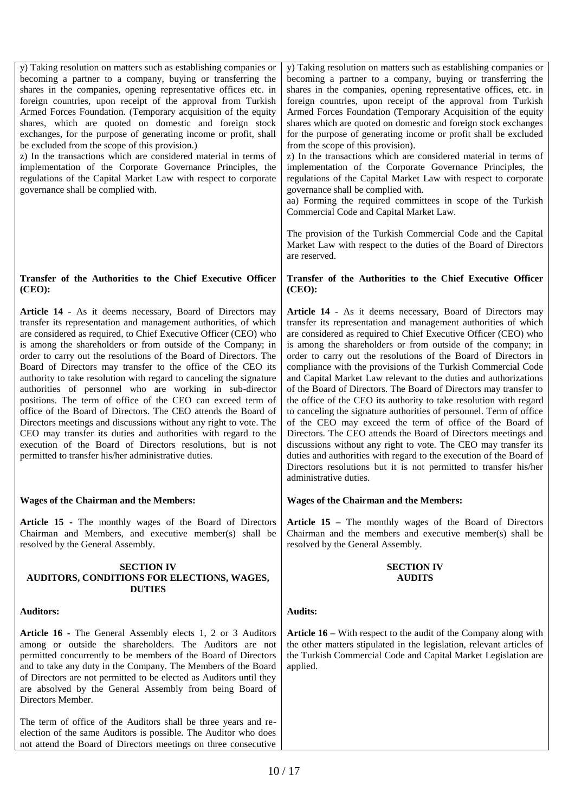y) Taking resolution on matters such as establishing companies or becoming a partner to a company, buying or transferring the shares in the companies, opening representative offices etc. in foreign countries, upon receipt of the approval from Turkish Armed Forces Foundation. (Temporary acquisition of the equity shares, which are quoted on domestic and foreign stock exchanges, for the purpose of generating income or profit, shall be excluded from the scope of this provision.)

z) In the transactions which are considered material in terms of implementation of the Corporate Governance Principles, the regulations of the Capital Market Law with respect to corporate governance shall be complied with.

#### **Transfer of the Authorities to the Chief Executive Officer (CEO):**

**Article 14 -** As it deems necessary, Board of Directors may transfer its representation and management authorities, of which are considered as required, to Chief Executive Officer (CEO) who is among the shareholders or from outside of the Company; in order to carry out the resolutions of the Board of Directors. The Board of Directors may transfer to the office of the CEO its authority to take resolution with regard to canceling the signature authorities of personnel who are working in sub-director positions. The term of office of the CEO can exceed term of office of the Board of Directors. The CEO attends the Board of Directors meetings and discussions without any right to vote. The CEO may transfer its duties and authorities with regard to the execution of the Board of Directors resolutions, but is not permitted to transfer his/her administrative duties.

# **Wages of the Chairman and the Members:**

**Article 15 -** The monthly wages of the Board of Directors Chairman and Members, and executive member(s) shall be resolved by the General Assembly.

#### **SECTION IV AUDITORS, CONDITIONS FOR ELECTIONS, WAGES, DUTIES**

# **Auditors:**

**Article 16 -** The General Assembly elects 1, 2 or 3 Auditors among or outside the shareholders. The Auditors are not permitted concurrently to be members of the Board of Directors and to take any duty in the Company. The Members of the Board of Directors are not permitted to be elected as Auditors until they are absolved by the General Assembly from being Board of Directors Member.

The term of office of the Auditors shall be three years and reelection of the same Auditors is possible. The Auditor who does not attend the Board of Directors meetings on three consecutive y) Taking resolution on matters such as establishing companies or becoming a partner to a company, buying or transferring the shares in the companies, opening representative offices, etc. in foreign countries, upon receipt of the approval from Turkish Armed Forces Foundation (Temporary Acquisition of the equity shares which are quoted on domestic and foreign stock exchanges for the purpose of generating income or profit shall be excluded from the scope of this provision).

z) In the transactions which are considered material in terms of implementation of the Corporate Governance Principles, the regulations of the Capital Market Law with respect to corporate governance shall be complied with.

aa) Forming the required committees in scope of the Turkish Commercial Code and Capital Market Law.

The provision of the Turkish Commercial Code and the Capital Market Law with respect to the duties of the Board of Directors are reserved.

## **Transfer of the Authorities to the Chief Executive Officer (CEO):**

**Article 14 -** As it deems necessary, Board of Directors may transfer its representation and management authorities of which are considered as required to Chief Executive Officer (CEO) who is among the shareholders or from outside of the company; in order to carry out the resolutions of the Board of Directors in compliance with the provisions of the Turkish Commercial Code and Capital Market Law relevant to the duties and authorizations of the Board of Directors. The Board of Directors may transfer to the office of the CEO its authority to take resolution with regard to canceling the signature authorities of personnel. Term of office of the CEO may exceed the term of office of the Board of Directors. The CEO attends the Board of Directors meetings and discussions without any right to vote. The CEO may transfer its duties and authorities with regard to the execution of the Board of Directors resolutions but it is not permitted to transfer his/her administrative duties.

# **Wages of the Chairman and the Members:**

**Article 15 –** The monthly wages of the Board of Directors Chairman and the members and executive member(s) shall be resolved by the General Assembly.

## **SECTION IV AUDITS**

# **Audits:**

**Article 16 –** With respect to the audit of the Company along with the other matters stipulated in the legislation, relevant articles of the Turkish Commercial Code and Capital Market Legislation are applied.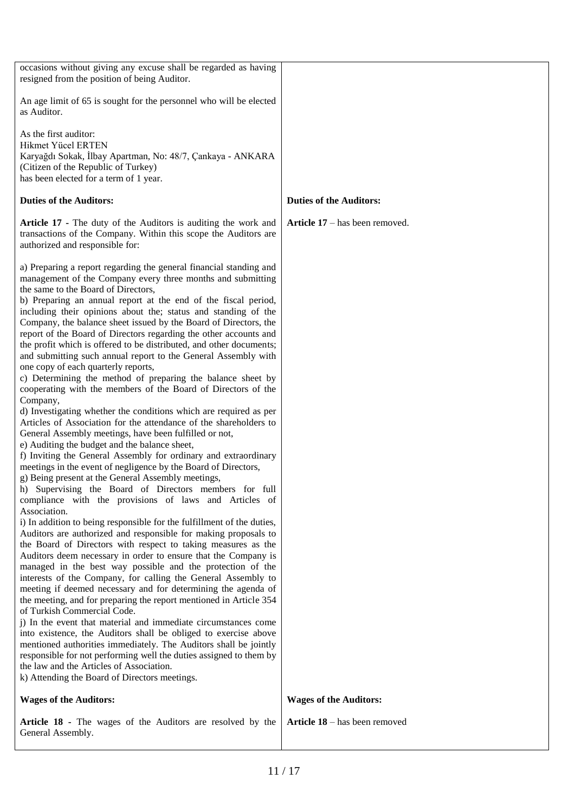| occasions without giving any excuse shall be regarded as having<br>resigned from the position of being Auditor.                                                                                                                                                                                                                                                                                                                                                                                                                                                                                                                                                                                                                                                                                                                                                                                                                                                                                                                                                                                                                                                                                                                                                                                                                                                                                                                                                                                                                                                                                                                                                                                                                                                                                                                                                                                                                                                                                                                                                                                                                                                                                                                                                                                                                        |                                |
|----------------------------------------------------------------------------------------------------------------------------------------------------------------------------------------------------------------------------------------------------------------------------------------------------------------------------------------------------------------------------------------------------------------------------------------------------------------------------------------------------------------------------------------------------------------------------------------------------------------------------------------------------------------------------------------------------------------------------------------------------------------------------------------------------------------------------------------------------------------------------------------------------------------------------------------------------------------------------------------------------------------------------------------------------------------------------------------------------------------------------------------------------------------------------------------------------------------------------------------------------------------------------------------------------------------------------------------------------------------------------------------------------------------------------------------------------------------------------------------------------------------------------------------------------------------------------------------------------------------------------------------------------------------------------------------------------------------------------------------------------------------------------------------------------------------------------------------------------------------------------------------------------------------------------------------------------------------------------------------------------------------------------------------------------------------------------------------------------------------------------------------------------------------------------------------------------------------------------------------------------------------------------------------------------------------------------------------|--------------------------------|
| An age limit of 65 is sought for the personnel who will be elected<br>as Auditor.                                                                                                                                                                                                                                                                                                                                                                                                                                                                                                                                                                                                                                                                                                                                                                                                                                                                                                                                                                                                                                                                                                                                                                                                                                                                                                                                                                                                                                                                                                                                                                                                                                                                                                                                                                                                                                                                                                                                                                                                                                                                                                                                                                                                                                                      |                                |
| As the first auditor:<br>Hikmet Yücel ERTEN<br>Karyağdı Sokak, İlbay Apartman, No: 48/7, Çankaya - ANKARA<br>(Citizen of the Republic of Turkey)<br>has been elected for a term of 1 year.                                                                                                                                                                                                                                                                                                                                                                                                                                                                                                                                                                                                                                                                                                                                                                                                                                                                                                                                                                                                                                                                                                                                                                                                                                                                                                                                                                                                                                                                                                                                                                                                                                                                                                                                                                                                                                                                                                                                                                                                                                                                                                                                             |                                |
| <b>Duties of the Auditors:</b>                                                                                                                                                                                                                                                                                                                                                                                                                                                                                                                                                                                                                                                                                                                                                                                                                                                                                                                                                                                                                                                                                                                                                                                                                                                                                                                                                                                                                                                                                                                                                                                                                                                                                                                                                                                                                                                                                                                                                                                                                                                                                                                                                                                                                                                                                                         | <b>Duties of the Auditors:</b> |
| Article 17 - The duty of the Auditors is auditing the work and<br>transactions of the Company. Within this scope the Auditors are<br>authorized and responsible for:                                                                                                                                                                                                                                                                                                                                                                                                                                                                                                                                                                                                                                                                                                                                                                                                                                                                                                                                                                                                                                                                                                                                                                                                                                                                                                                                                                                                                                                                                                                                                                                                                                                                                                                                                                                                                                                                                                                                                                                                                                                                                                                                                                   | Article 17 – has been removed. |
| a) Preparing a report regarding the general financial standing and<br>management of the Company every three months and submitting<br>the same to the Board of Directors,<br>b) Preparing an annual report at the end of the fiscal period,<br>including their opinions about the; status and standing of the<br>Company, the balance sheet issued by the Board of Directors, the<br>report of the Board of Directors regarding the other accounts and<br>the profit which is offered to be distributed, and other documents;<br>and submitting such annual report to the General Assembly with<br>one copy of each quarterly reports,<br>c) Determining the method of preparing the balance sheet by<br>cooperating with the members of the Board of Directors of the<br>Company,<br>d) Investigating whether the conditions which are required as per<br>Articles of Association for the attendance of the shareholders to<br>General Assembly meetings, have been fulfilled or not,<br>e) Auditing the budget and the balance sheet,<br>f) Inviting the General Assembly for ordinary and extraordinary<br>meetings in the event of negligence by the Board of Directors,<br>g) Being present at the General Assembly meetings,<br>h) Supervising the Board of Directors members for full<br>compliance with the provisions of laws and Articles of<br>Association.<br>i) In addition to being responsible for the fulfillment of the duties,<br>Auditors are authorized and responsible for making proposals to<br>the Board of Directors with respect to taking measures as the<br>Auditors deem necessary in order to ensure that the Company is<br>managed in the best way possible and the protection of the<br>interests of the Company, for calling the General Assembly to<br>meeting if deemed necessary and for determining the agenda of<br>the meeting, and for preparing the report mentioned in Article 354<br>of Turkish Commercial Code.<br>i) In the event that material and immediate circumstances come<br>into existence, the Auditors shall be obliged to exercise above<br>mentioned authorities immediately. The Auditors shall be jointly<br>responsible for not performing well the duties assigned to them by<br>the law and the Articles of Association.<br>k) Attending the Board of Directors meetings. |                                |
| <b>Wages of the Auditors:</b>                                                                                                                                                                                                                                                                                                                                                                                                                                                                                                                                                                                                                                                                                                                                                                                                                                                                                                                                                                                                                                                                                                                                                                                                                                                                                                                                                                                                                                                                                                                                                                                                                                                                                                                                                                                                                                                                                                                                                                                                                                                                                                                                                                                                                                                                                                          | <b>Wages of the Auditors:</b>  |
| Article 18 - The wages of the Auditors are resolved by the<br>General Assembly.                                                                                                                                                                                                                                                                                                                                                                                                                                                                                                                                                                                                                                                                                                                                                                                                                                                                                                                                                                                                                                                                                                                                                                                                                                                                                                                                                                                                                                                                                                                                                                                                                                                                                                                                                                                                                                                                                                                                                                                                                                                                                                                                                                                                                                                        | Article 18 - has been removed  |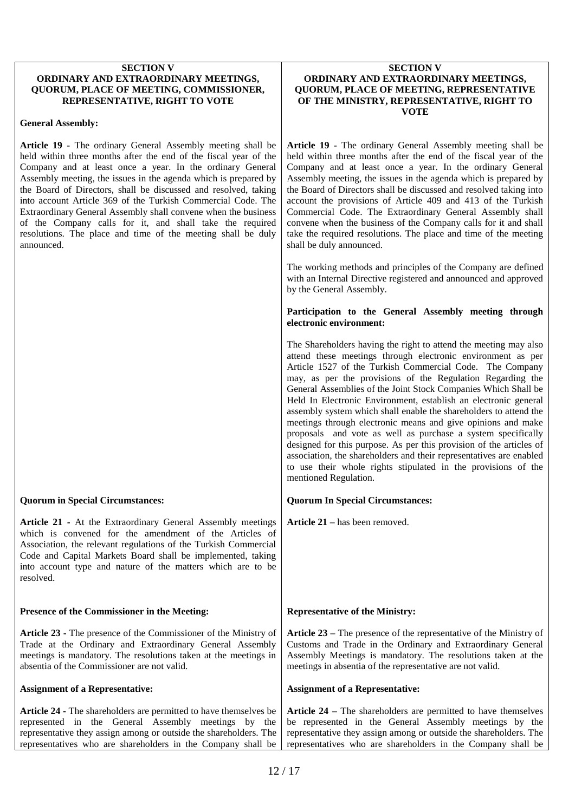#### **SECTION V ORDINARY AND EXTRAORDINARY MEETINGS, QUORUM, PLACE OF MEETING, COMMISSIONER, REPRESENTATIVE, RIGHT TO VOTE**

## **General Assembly:**

**Article 19 -** The ordinary General Assembly meeting shall be held within three months after the end of the fiscal year of the Company and at least once a year. In the ordinary General Assembly meeting, the issues in the agenda which is prepared by the Board of Directors, shall be discussed and resolved, taking into account Article 369 of the Turkish Commercial Code. The Extraordinary General Assembly shall convene when the business of the Company calls for it, and shall take the required resolutions. The place and time of the meeting shall be duly announced.

# **Quorum in Special Circumstances:**

**Article 21 -** At the Extraordinary General Assembly meetings which is convened for the amendment of the Articles of Association, the relevant regulations of the Turkish Commercial Code and Capital Markets Board shall be implemented, taking into account type and nature of the matters which are to be resolved.

## **Presence of the Commissioner in the Meeting:**

**Article 23 -** The presence of the Commissioner of the Ministry of Trade at the Ordinary and Extraordinary General Assembly meetings is mandatory. The resolutions taken at the meetings in absentia of the Commissioner are not valid.

## **Assignment of a Representative:**

**Article 24 -** The shareholders are permitted to have themselves be represented in the General Assembly meetings by the representative they assign among or outside the shareholders. The representatives who are shareholders in the Company shall be

#### **SECTION V ORDINARY AND EXTRAORDINARY MEETINGS, QUORUM, PLACE OF MEETING, REPRESENTATIVE OF THE MINISTRY, REPRESENTATIVE, RIGHT TO VOTE**

**Article 19 -** The ordinary General Assembly meeting shall be held within three months after the end of the fiscal year of the Company and at least once a year. In the ordinary General Assembly meeting, the issues in the agenda which is prepared by the Board of Directors shall be discussed and resolved taking into account the provisions of Article 409 and 413 of the Turkish Commercial Code. The Extraordinary General Assembly shall convene when the business of the Company calls for it and shall take the required resolutions. The place and time of the meeting shall be duly announced.

The working methods and principles of the Company are defined with an Internal Directive registered and announced and approved by the General Assembly.

## **Participation to the General Assembly meeting through electronic environment:**

The Shareholders having the right to attend the meeting may also attend these meetings through electronic environment as per Article 1527 of the Turkish Commercial Code. The Company may, as per the provisions of the Regulation Regarding the General Assemblies of the Joint Stock Companies Which Shall be Held In Electronic Environment, establish an electronic general assembly system which shall enable the shareholders to attend the meetings through electronic means and give opinions and make proposals and vote as well as purchase a system specifically designed for this purpose. As per this provision of the articles of association, the shareholders and their representatives are enabled to use their whole rights stipulated in the provisions of the mentioned Regulation.

# **Quorum In Special Circumstances:**

**Article 21 –** has been removed.

# **Representative of the Ministry:**

**Article 23 –** The presence of the representative of the Ministry of Customs and Trade in the Ordinary and Extraordinary General Assembly Meetings is mandatory. The resolutions taken at the meetings in absentia of the representative are not valid.

## **Assignment of a Representative:**

**Article 24 –** The shareholders are permitted to have themselves be represented in the General Assembly meetings by the representative they assign among or outside the shareholders. The representatives who are shareholders in the Company shall be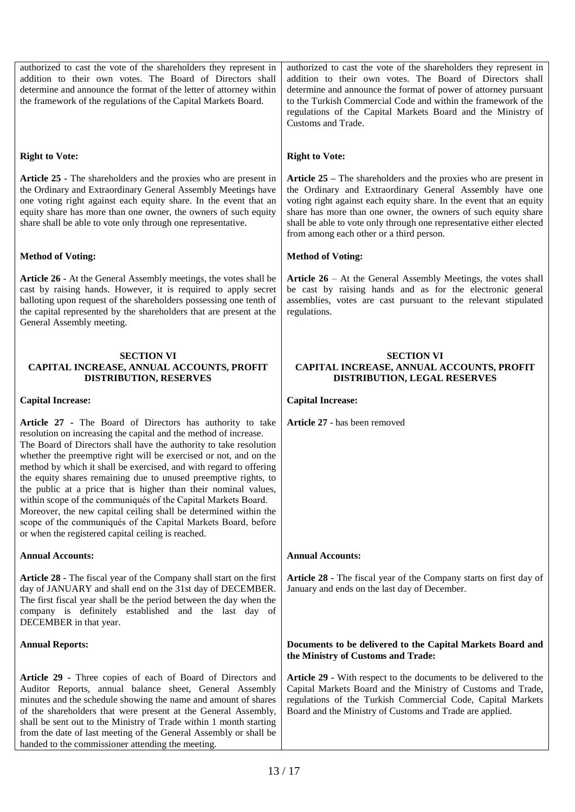authorized to cast the vote of the shareholders they represent in addition to their own votes. The Board of Directors shall determine and announce the format of the letter of attorney within the framework of the regulations of the Capital Markets Board. **Right to Vote: Article 25 -** The shareholders and the proxies who are present in the Ordinary and Extraordinary General Assembly Meetings have one voting right against each equity share. In the event that an equity share has more than one owner, the owners of such equity share shall be able to vote only through one representative. **Method of Voting: Article 26 -** At the General Assembly meetings, the votes shall be cast by raising hands. However, it is required to apply secret balloting upon request of the shareholders possessing one tenth of the capital represented by the shareholders that are present at the General Assembly meeting. **SECTION VI CAPITAL INCREASE, ANNUAL ACCOUNTS, PROFIT DISTRIBUTION, RESERVES Capital Increase: Article 27 -** The Board of Directors has authority to take resolution on increasing the capital and the method of increase. The Board of Directors shall have the authority to take resolution whether the preemptive right will be exercised or not, and on the method by which it shall be exercised, and with regard to offering the equity shares remaining due to unused preemptive rights, to the public at a price that is higher than their nominal values, within scope of the communiqués of the Capital Markets Board. Moreover, the new capital ceiling shall be determined within the scope of the communiqués of the Capital Markets Board, before or when the registered capital ceiling is reached. **Annual Accounts: Article 28 -** The fiscal year of the Company shall start on the first day of JANUARY and shall end on the 31st day of DECEMBER. The first fiscal year shall be the period between the day when the company is definitely established and the last day of DECEMBER in that year. **Annual Reports: Article 29 -** Three copies of each of Board of Directors and Auditor Reports, annual balance sheet, General Assembly minutes and the schedule showing the name and amount of shares of the shareholders that were present at the General Assembly, shall be sent out to the Ministry of Trade within 1 month starting from the date of last meeting of the General Assembly or shall be authorized to cast the vote of the shareholders they represent in addition to their own votes. The Board of Directors shall determine and announce the format of power of attorney pursuant to the Turkish Commercial Code and within the framework of the regulations of the Capital Markets Board and the Ministry of Customs and Trade. **Right to Vote: Article 25 –** The shareholders and the proxies who are present in the Ordinary and Extraordinary General Assembly have one voting right against each equity share. In the event that an equity share has more than one owner, the owners of such equity share shall be able to vote only through one representative either elected from among each other or a third person. **Method of Voting: Article 26** – At the General Assembly Meetings, the votes shall be cast by raising hands and as for the electronic general assemblies, votes are cast pursuant to the relevant stipulated regulations. **SECTION VI CAPITAL INCREASE, ANNUAL ACCOUNTS, PROFIT DISTRIBUTION, LEGAL RESERVES Capital Increase: Article 27** - has been removed **Annual Accounts: Article 28 -** The fiscal year of the Company starts on first day of January and ends on the last day of December. **Documents to be delivered to the Capital Markets Board and the Ministry of Customs and Trade: Article 29 -** With respect to the documents to be delivered to the Capital Markets Board and the Ministry of Customs and Trade, regulations of the Turkish Commercial Code, Capital Markets Board and the Ministry of Customs and Trade are applied.

handed to the commissioner attending the meeting.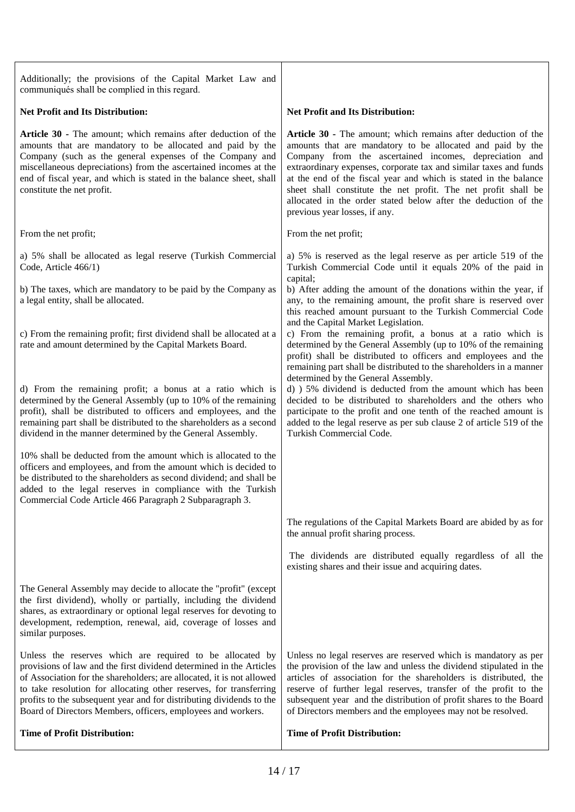| Additionally; the provisions of the Capital Market Law and<br>communiqués shall be complied in this regard.                                                                                                                                                                                                                                                                                                             |                                                                                                                                                                                                                                                                                                                                                                                                                                                                                                                                                                                                                                                                                                       |
|-------------------------------------------------------------------------------------------------------------------------------------------------------------------------------------------------------------------------------------------------------------------------------------------------------------------------------------------------------------------------------------------------------------------------|-------------------------------------------------------------------------------------------------------------------------------------------------------------------------------------------------------------------------------------------------------------------------------------------------------------------------------------------------------------------------------------------------------------------------------------------------------------------------------------------------------------------------------------------------------------------------------------------------------------------------------------------------------------------------------------------------------|
| <b>Net Profit and Its Distribution:</b>                                                                                                                                                                                                                                                                                                                                                                                 | <b>Net Profit and Its Distribution:</b>                                                                                                                                                                                                                                                                                                                                                                                                                                                                                                                                                                                                                                                               |
| Article 30 - The amount; which remains after deduction of the<br>amounts that are mandatory to be allocated and paid by the<br>Company (such as the general expenses of the Company and<br>miscellaneous depreciations) from the ascertained incomes at the<br>end of fiscal year, and which is stated in the balance sheet, shall<br>constitute the net profit.                                                        | Article 30 - The amount; which remains after deduction of the<br>amounts that are mandatory to be allocated and paid by the<br>Company from the ascertained incomes, depreciation and<br>extraordinary expenses, corporate tax and similar taxes and funds<br>at the end of the fiscal year and which is stated in the balance<br>sheet shall constitute the net profit. The net profit shall be<br>allocated in the order stated below after the deduction of the<br>previous year losses, if any.                                                                                                                                                                                                   |
| From the net profit;                                                                                                                                                                                                                                                                                                                                                                                                    | From the net profit;                                                                                                                                                                                                                                                                                                                                                                                                                                                                                                                                                                                                                                                                                  |
| a) 5% shall be allocated as legal reserve (Turkish Commercial<br>Code, Article 466/1)<br>b) The taxes, which are mandatory to be paid by the Company as<br>a legal entity, shall be allocated.<br>c) From the remaining profit; first dividend shall be allocated at a<br>rate and amount determined by the Capital Markets Board.                                                                                      | a) 5% is reserved as the legal reserve as per article 519 of the<br>Turkish Commercial Code until it equals 20% of the paid in<br>capital;<br>b) After adding the amount of the donations within the year, if<br>any, to the remaining amount, the profit share is reserved over<br>this reached amount pursuant to the Turkish Commercial Code<br>and the Capital Market Legislation.<br>c) From the remaining profit, a bonus at a ratio which is<br>determined by the General Assembly (up to 10% of the remaining<br>profit) shall be distributed to officers and employees and the<br>remaining part shall be distributed to the shareholders in a manner<br>determined by the General Assembly. |
| d) From the remaining profit; a bonus at a ratio which is<br>determined by the General Assembly (up to 10% of the remaining<br>profit), shall be distributed to officers and employees, and the<br>remaining part shall be distributed to the shareholders as a second<br>dividend in the manner determined by the General Assembly.                                                                                    | d) 5% dividend is deducted from the amount which has been<br>decided to be distributed to shareholders and the others who<br>participate to the profit and one tenth of the reached amount is<br>added to the legal reserve as per sub clause 2 of article 519 of the<br>Turkish Commercial Code.                                                                                                                                                                                                                                                                                                                                                                                                     |
| 10% shall be deducted from the amount which is allocated to the<br>officers and employees, and from the amount which is decided to<br>be distributed to the shareholders as second dividend; and shall be<br>added to the legal reserves in compliance with the Turkish<br>Commercial Code Article 466 Paragraph 2 Subparagraph 3.                                                                                      |                                                                                                                                                                                                                                                                                                                                                                                                                                                                                                                                                                                                                                                                                                       |
|                                                                                                                                                                                                                                                                                                                                                                                                                         | The regulations of the Capital Markets Board are abided by as for<br>the annual profit sharing process.                                                                                                                                                                                                                                                                                                                                                                                                                                                                                                                                                                                               |
|                                                                                                                                                                                                                                                                                                                                                                                                                         | The dividends are distributed equally regardless of all the<br>existing shares and their issue and acquiring dates.                                                                                                                                                                                                                                                                                                                                                                                                                                                                                                                                                                                   |
| The General Assembly may decide to allocate the "profit" (except<br>the first dividend), wholly or partially, including the dividend<br>shares, as extraordinary or optional legal reserves for devoting to<br>development, redemption, renewal, aid, coverage of losses and<br>similar purposes.                                                                                                                       |                                                                                                                                                                                                                                                                                                                                                                                                                                                                                                                                                                                                                                                                                                       |
| Unless the reserves which are required to be allocated by<br>provisions of law and the first dividend determined in the Articles<br>of Association for the shareholders; are allocated, it is not allowed<br>to take resolution for allocating other reserves, for transferring<br>profits to the subsequent year and for distributing dividends to the<br>Board of Directors Members, officers, employees and workers. | Unless no legal reserves are reserved which is mandatory as per<br>the provision of the law and unless the dividend stipulated in the<br>articles of association for the shareholders is distributed, the<br>reserve of further legal reserves, transfer of the profit to the<br>subsequent year and the distribution of profit shares to the Board<br>of Directors members and the employees may not be resolved.                                                                                                                                                                                                                                                                                    |
| <b>Time of Profit Distribution:</b>                                                                                                                                                                                                                                                                                                                                                                                     | <b>Time of Profit Distribution:</b>                                                                                                                                                                                                                                                                                                                                                                                                                                                                                                                                                                                                                                                                   |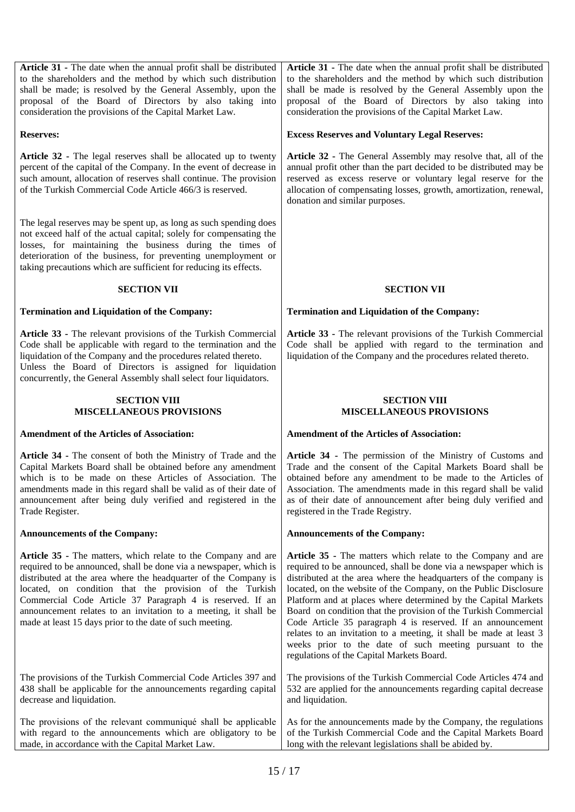**Article 31 -** The date when the annual profit shall be distributed to the shareholders and the method by which such distribution shall be made; is resolved by the General Assembly, upon the proposal of the Board of Directors by also taking into consideration the provisions of the Capital Market Law.

## **Reserves:**

**Article 32 -** The legal reserves shall be allocated up to twenty percent of the capital of the Company. In the event of decrease in such amount, allocation of reserves shall continue. The provision of the Turkish Commercial Code Article 466/3 is reserved.

The legal reserves may be spent up, as long as such spending does not exceed half of the actual capital; solely for compensating the losses, for maintaining the business during the times of deterioration of the business, for preventing unemployment or taking precautions which are sufficient for reducing its effects.

## **SECTION VII**

## **Termination and Liquidation of the Company:**

**Article 33 -** The relevant provisions of the Turkish Commercial Code shall be applicable with regard to the termination and the liquidation of the Company and the procedures related thereto. Unless the Board of Directors is assigned for liquidation concurrently, the General Assembly shall select four liquidators.

#### **SECTION VIII MISCELLANEOUS PROVISIONS**

## **Amendment of the Articles of Association:**

**Article 34 -** The consent of both the Ministry of Trade and the Capital Markets Board shall be obtained before any amendment which is to be made on these Articles of Association. The amendments made in this regard shall be valid as of their date of announcement after being duly verified and registered in the Trade Register.

## **Announcements of the Company:**

**Article 35 -** The matters, which relate to the Company and are required to be announced, shall be done via a newspaper, which is distributed at the area where the headquarter of the Company is located, on condition that the provision of the Turkish Commercial Code Article 37 Paragraph 4 is reserved. If an announcement relates to an invitation to a meeting, it shall be made at least 15 days prior to the date of such meeting.

The provisions of the Turkish Commercial Code Articles 397 and 438 shall be applicable for the announcements regarding capital decrease and liquidation.

The provisions of the relevant communiqué shall be applicable with regard to the announcements which are obligatory to be made, in accordance with the Capital Market Law.

**Article 31 -** The date when the annual profit shall be distributed to the shareholders and the method by which such distribution shall be made is resolved by the General Assembly upon the proposal of the Board of Directors by also taking into consideration the provisions of the Capital Market Law.

## **Excess Reserves and Voluntary Legal Reserves:**

**Article 32 -** The General Assembly may resolve that, all of the annual profit other than the part decided to be distributed may be reserved as excess reserve or voluntary legal reserve for the allocation of compensating losses, growth, amortization, renewal, donation and similar purposes.

## **SECTION VII**

## **Termination and Liquidation of the Company:**

**Article 33 -** The relevant provisions of the Turkish Commercial Code shall be applied with regard to the termination and liquidation of the Company and the procedures related thereto.

## **SECTION VIII MISCELLANEOUS PROVISIONS**

## **Amendment of the Articles of Association:**

**Article 34 -** The permission of the Ministry of Customs and Trade and the consent of the Capital Markets Board shall be obtained before any amendment to be made to the Articles of Association. The amendments made in this regard shall be valid as of their date of announcement after being duly verified and registered in the Trade Registry.

## **Announcements of the Company:**

**Article 35 -** The matters which relate to the Company and are required to be announced, shall be done via a newspaper which is distributed at the area where the headquarters of the company is located, on the website of the Company, on the Public Disclosure Platform and at places where determined by the Capital Markets Board on condition that the provision of the Turkish Commercial Code Article 35 paragraph 4 is reserved. If an announcement relates to an invitation to a meeting, it shall be made at least 3 weeks prior to the date of such meeting pursuant to the regulations of the Capital Markets Board.

The provisions of the Turkish Commercial Code Articles 474 and 532 are applied for the announcements regarding capital decrease and liquidation.

As for the announcements made by the Company, the regulations of the Turkish Commercial Code and the Capital Markets Board long with the relevant legislations shall be abided by.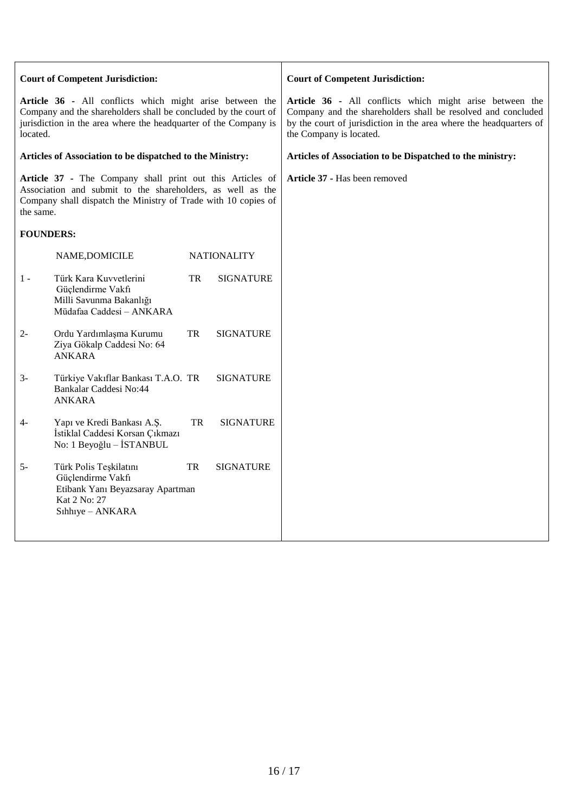| <b>Court of Competent Jurisdiction:</b>                                                                                                                                                                     |                                                                                                                     |           |                    | <b>Court of Competent Jurisdiction:</b>                                                                                                                                                                                   |
|-------------------------------------------------------------------------------------------------------------------------------------------------------------------------------------------------------------|---------------------------------------------------------------------------------------------------------------------|-----------|--------------------|---------------------------------------------------------------------------------------------------------------------------------------------------------------------------------------------------------------------------|
| Article 36 - All conflicts which might arise between the<br>Company and the shareholders shall be concluded by the court of<br>jurisdiction in the area where the headquarter of the Company is<br>located. |                                                                                                                     |           |                    | Article 36 - All conflicts which might arise between the<br>Company and the shareholders shall be resolved and concluded<br>by the court of jurisdiction in the area where the headquarters of<br>the Company is located. |
| Articles of Association to be dispatched to the Ministry:                                                                                                                                                   |                                                                                                                     |           |                    | Articles of Association to be Dispatched to the ministry:                                                                                                                                                                 |
| Article 37 - The Company shall print out this Articles of<br>Association and submit to the shareholders, as well as the<br>Company shall dispatch the Ministry of Trade with 10 copies of<br>the same.      |                                                                                                                     |           |                    | Article 37 - Has been removed                                                                                                                                                                                             |
| <b>FOUNDERS:</b>                                                                                                                                                                                            |                                                                                                                     |           |                    |                                                                                                                                                                                                                           |
|                                                                                                                                                                                                             | NAME, DOMICILE                                                                                                      |           | <b>NATIONALITY</b> |                                                                                                                                                                                                                           |
| $1 -$                                                                                                                                                                                                       | Türk Kara Kuvvetlerini<br>Güçlendirme Vakfı<br>Milli Savunma Bakanlığı<br>Müdafaa Caddesi - ANKARA                  | TR.       | <b>SIGNATURE</b>   |                                                                                                                                                                                                                           |
| $2 -$                                                                                                                                                                                                       | Ordu Yardımlaşma Kurumu<br>Ziya Gökalp Caddesi No: 64<br><b>ANKARA</b>                                              | <b>TR</b> | <b>SIGNATURE</b>   |                                                                                                                                                                                                                           |
| $3-$                                                                                                                                                                                                        | Türkiye Vakıflar Bankası T.A.O. TR<br>Bankalar Caddesi No:44<br><b>ANKARA</b>                                       |           | <b>SIGNATURE</b>   |                                                                                                                                                                                                                           |
| $4-$                                                                                                                                                                                                        | Yapı ve Kredi Bankası A.Ş.<br>İstiklal Caddesi Korsan Çıkmazı<br>No: 1 Beyoğlu - İSTANBUL                           | TR        | <b>SIGNATURE</b>   |                                                                                                                                                                                                                           |
| $5-$                                                                                                                                                                                                        | Türk Polis Teşkilatını<br>Güçlendirme Vakfı<br>Etibank Yanı Beyazsaray Apartman<br>Kat 2 No: 27<br>Sıhhıye - ANKARA | TR        | <b>SIGNATURE</b>   |                                                                                                                                                                                                                           |